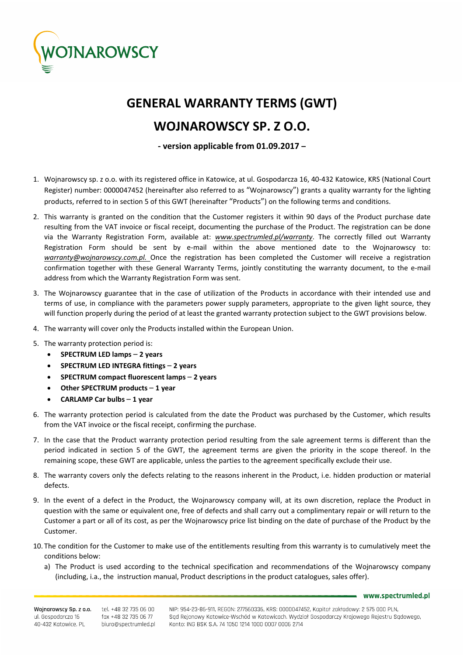

## **GENERAL WARRANTY TERMS (GWT)**

## **WOJNAROWSCY SP. Z O.O.**

**‐ version applicable from 01.09.2017 –**

- 1. Wojnarowscy sp. z o.o. with its registered office in Katowice, at ul. Gospodarcza 16, 40‐432 Katowice, KRS (National Court Register) number: 0000047452 (hereinafter also referred to as "Wojnarowscy") grants a quality warranty for the lighting products, referred to in section 5 of this GWT (hereinafter "Products") on the following terms and conditions.
- 2. This warranty is granted on the condition that the Customer registers it within 90 days of the Product purchase date resulting from the VAT invoice or fiscal receipt, documenting the purchase of the Product. The registration can be done via the Warranty Registration Form, available at: *www.spectrumled.pl/warranty*. The correctly filled out Warranty Registration Form should be sent by e-mail within the above mentioned date to the Wojnarowscy to: *warranty@wojnarowscy.com.pl.* Once the registration has been completed the Customer will receive a registration confirmation together with these General Warranty Terms, jointly constituting the warranty document, to the e‐mail address from which the Warranty Registration Form was sent.
- 3. The Wojnarowscy guarantee that in the case of utilization of the Products in accordance with their intended use and terms of use, in compliance with the parameters power supply parameters, appropriate to the given light source, they will function properly during the period of at least the granted warranty protection subject to the GWT provisions below.
- 4. The warranty will cover only the Products installed within the European Union.
- 5. The warranty protection period is:
	- **SPECTRUM LED lamps 2 years**
	- **SPECTRUM LED INTEGRA fittings 2 years**
	- **SPECTRUM compact fluorescent lamps 2 years**
	- **Other SPECTRUM products 1 year**
	- **CARLAMP Car bulbs 1 year**
- 6. The warranty protection period is calculated from the date the Product was purchased by the Customer, which results from the VAT invoice or the fiscal receipt, confirming the purchase.
- 7. In the case that the Product warranty protection period resulting from the sale agreement terms is different than the period indicated in section 5 of the GWT, the agreement terms are given the priority in the scope thereof. In the remaining scope, these GWT are applicable, unless the parties to the agreement specifically exclude their use.
- 8. The warranty covers only the defects relating to the reasons inherent in the Product, i.e. hidden production or material defects.
- 9. In the event of a defect in the Product, the Wojnarowscy company will, at its own discretion, replace the Product in question with the same or equivalent one, free of defects and shall carry out a complimentary repair or will return to the Customer a part or all of its cost, as per the Wojnarowscy price list binding on the date of purchase of the Product by the Customer.
- 10. The condition for the Customer to make use of the entitlements resulting from this warranty is to cumulatively meet the conditions below:
	- a) The Product is used according to the technical specification and recommendations of the Wojnarowscy company (including, i.a., the instruction manual, Product descriptions in the product catalogues, sales offer).

www.spectrumled.pl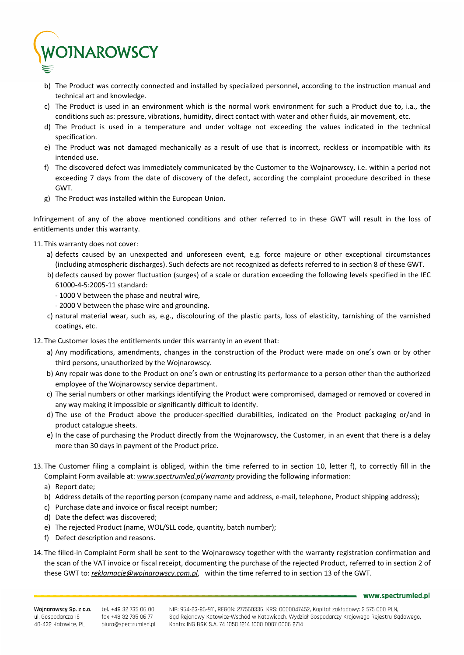

- b) The Product was correctly connected and installed by specialized personnel, according to the instruction manual and technical art and knowledge.
- c) The Product is used in an environment which is the normal work environment for such a Product due to, i.a., the conditions such as: pressure, vibrations, humidity, direct contact with water and other fluids, air movement, etc.
- d) The Product is used in a temperature and under voltage not exceeding the values indicated in the technical specification.
- e) The Product was not damaged mechanically as a result of use that is incorrect, reckless or incompatible with its intended use.
- f) The discovered defect was immediately communicated by the Customer to the Wojnarowscy, i.e. within a period not exceeding 7 days from the date of discovery of the defect, according the complaint procedure described in these GWT.
- g) The Product was installed within the European Union.

Infringement of any of the above mentioned conditions and other referred to in these GWT will result in the loss of entitlements under this warranty.

- 11. This warranty does not cover:
	- a) defects caused by an unexpected and unforeseen event, e.g. force majeure or other exceptional circumstances (including atmospheric discharges). Such defects are not recognized as defects referred to in section 8 of these GWT.
	- b) defects caused by power fluctuation (surges) of a scale or duration exceeding the following levels specified in the IEC 61000‐4‐5:2005‐11 standard:
		- ‐ 1000 V between the phase and neutral wire,
		- ‐ 2000 V between the phase wire and grounding.
	- c) natural material wear, such as, e.g., discolouring of the plastic parts, loss of elasticity, tarnishing of the varnished coatings, etc.
- 12. The Customer loses the entitlements under this warranty in an event that:
	- a) Any modifications, amendments, changes in the construction of the Product were made on one's own or by other third persons, unauthorized by the Wojnarowscy.
	- b) Any repair was done to the Product on one's own or entrusting its performance to a person other than the authorized employee of the Wojnarowscy service department.
	- c) The serial numbers or other markings identifying the Product were compromised, damaged or removed or covered in any way making it impossible or significantly difficult to identify.
	- d) The use of the Product above the producer‐specified durabilities, indicated on the Product packaging or/and in product catalogue sheets.
	- e) In the case of purchasing the Product directly from the Wojnarowscy, the Customer, in an event that there is a delay more than 30 days in payment of the Product price.
- 13. The Customer filing a complaint is obliged, within the time referred to in section 10, letter f), to correctly fill in the Complaint Form available at: *www.spectrumled.pl/warranty* providing the following information:
	- a) Report date;
	- b) Address details of the reporting person (company name and address, e-mail, telephone, Product shipping address);
	- c) Purchase date and invoice or fiscal receipt number;
	- d) Date the defect was discovered;
	- e) The rejected Product (name, WOL/SLL code, quantity, batch number);
	- f) Defect description and reasons.
- 14. The filled-in Complaint Form shall be sent to the Wojnarowscy together with the warranty registration confirmation and the scan of the VAT invoice or fiscal receipt, documenting the purchase of the rejected Product, referred to in section 2 of these GWT to: *reklamacje@wojnarowscy.com.pl*, within the time referred to in section 13 of the GWT.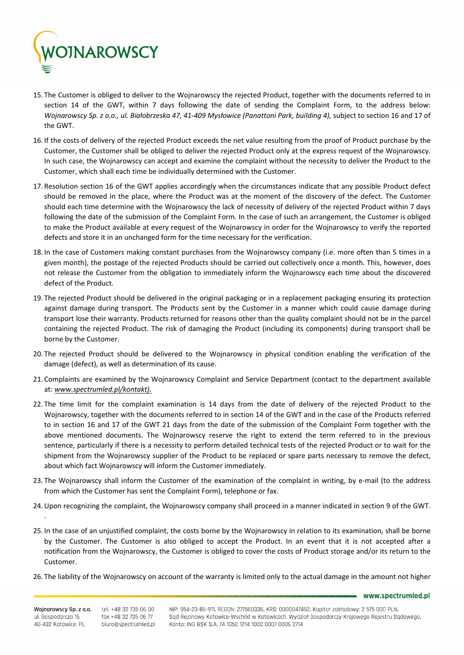

- 15. The Customer is obliged to deliver to the Wojnarowscy the rejected Product, together with the documents referred to in section 14 of the GWT, within 7 days following the date of sending the Complaint Form, to the address below: Wojnarowscy Sp. z o.o., ul. Białobrzeska 47, 41-409 Mysłowice (Panattoni Park, building 4), subject to section 16 and 17 of the GWT.
- 16. If the costs of delivery of the rejected Product exceeds the net value resulting from the proof of Product purchase by the Customer, the Customer shall be obliged to deliver the rejected Product only at the express request of the Wojnarowscy. In such case, the Wojnarowscy can accept and examine the complaint without the necessity to deliver the Product to the Customer, which shall each time be individually determined with the Customer.
- 17. Resolution section 16 of the GWT applies accordingly when the circumstances indicate that any possible Product defect should be removed in the place, where the Product was at the moment of the discovery of the defect. The Customer should each time determine with the Wojnarowscy the lack of necessity of delivery of the rejected Product within 7 days following the date of the submission of the Complaint Form. In the case of such an arrangement, the Customer is obliged to make the Product available at every request of the Wojnarowscy in order for the Wojnarowscy to verify the reported defects and store it in an unchanged form for the time necessary for the verification.
- 18. In the case of Customers making constant purchases from the Wojnarowscy company (i.e. more often than 5 times in a given month), the postage of the rejected Products should be carried out collectively once a month. This, however, does not release the Customer from the obligation to immediately inform the Wojnarowscy each time about the discovered defect of the Product.
- 19. The rejected Product should be delivered in the original packaging or in a replacement packaging ensuring its protection against damage during transport. The Products sent by the Customer in a manner which could cause damage during transport lose their warranty. Products returned for reasons other than the quality complaint should not be in the parcel containing the rejected Product. The risk of damaging the Product (including its components) during transport shall be borne by the Customer.
- 20. The rejected Product should be delivered to the Wojnarowscy in physical condition enabling the verification of the damage (defect), as well as determination of its cause.
- 21. Complaints are examined by the Wojnarowscy Complaint and Service Department (contact to the department available at: *www.spectrumled.pl/kontakt).*
- 22. The time limit for the complaint examination is 14 days from the date of delivery of the rejected Product to the Wojnarowscy, together with the documents referred to in section 14 of the GWT and in the case of the Products referred to in section 16 and 17 of the GWT 21 days from the date of the submission of the Complaint Form together with the above mentioned documents. The Wojnarowscy reserve the right to extend the term referred to in the previous sentence, particularly if there is a necessity to perform detailed technical tests of the rejected Product or to wait for the shipment from the Wojnarowscy supplier of the Product to be replaced or spare parts necessary to remove the defect, about which fact Wojnarowscy will inform the Customer immediately.
- 23. The Wojnarowscy shall inform the Customer of the examination of the complaint in writing, by e-mail (to the address from which the Customer has sent the Complaint Form), telephone or fax.
- 24.Upon recognizing the complaint, the Wojnarowscy company shall proceed in a manner indicated in section 9 of the GWT.
- 25. In the case of an unjustified complaint, the costs borne by the Wojnarowscy in relation to its examination, shall be borne by the Customer. The Customer is also obliged to accept the Product. In an event that it is not accepted after a notification from the Wojnarowscy, the Customer is obliged to cover the costs of Product storage and/or its return to the Customer.
- 26. The liability of the Wojnarowscy on account of the warranty is limited only to the actual damage in the amount not higher

www.spectrumled.pl

.